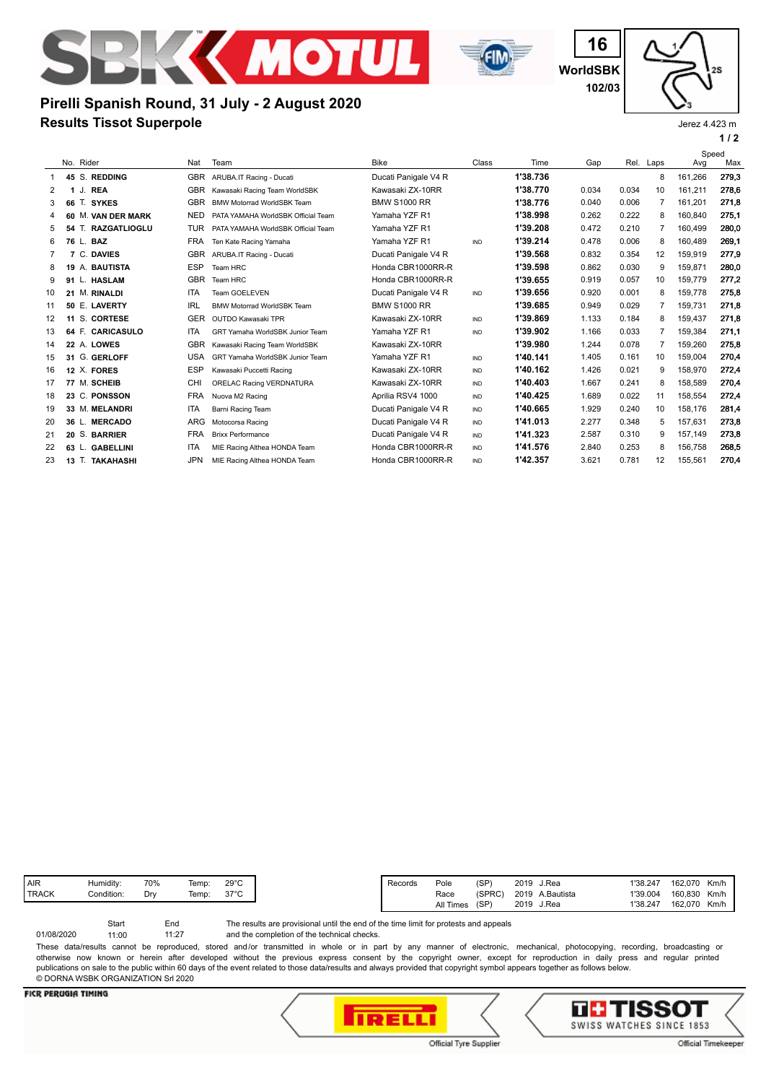



**WorldSBK 16 102/03**

**1 / 2** Jerez 4.423 m

# **Results Tissot Superpole Pirelli Spanish Round, 31 July - 2 August 2020**

|    |                           |            |                                    |                      |       |          |       | Speed |                |         |       |
|----|---------------------------|------------|------------------------------------|----------------------|-------|----------|-------|-------|----------------|---------|-------|
|    | No. Rider                 | Nat        | Team                               | <b>Bike</b>          | Class | Time     | Gap   |       | Rel. Laps      | Avg     | Max   |
|    | 45 S. REDDING             | <b>GBR</b> | ARUBA.IT Racing - Ducati           | Ducati Panigale V4 R |       | 1'38.736 |       |       | 8              | 161.266 | 279.3 |
| 2  | <b>REA</b><br>1J.         | <b>GBR</b> | Kawasaki Racing Team WorldSBK      | Kawasaki ZX-10RR     |       | 1'38.770 | 0.034 | 0.034 | 10             | 161,211 | 278,6 |
| 3  | 66 T. SYKES               | <b>GBR</b> | <b>BMW Motorrad WorldSBK Team</b>  | <b>BMW S1000 RR</b>  |       | 1'38.776 | 0.040 | 0.006 | 7              | 161.201 | 271,8 |
| 4  | 60 M. VAN DER MARK        | <b>NED</b> | PATA YAMAHA WorldSBK Official Team | Yamaha YZF R1        |       | 1'38.998 | 0.262 | 0.222 | 8              | 160.840 | 275,1 |
| 5  | 54 T. RAZGATLIOGLU        | TUR        | PATA YAMAHA WorldSBK Official Team | Yamaha YZF R1        |       | 1'39.208 | 0.472 | 0.210 | 7              | 160.499 | 280,0 |
| 6  | 76 L.<br><b>BAZ</b>       | <b>FRA</b> | Ten Kate Racing Yamaha             | Yamaha YZF R1        | IND   | 1'39.214 | 0.478 | 0.006 | 8              | 160.489 | 269.1 |
|    | 7 C. DAVIES               | <b>GBR</b> | ARUBA.IT Racing - Ducati           | Ducati Panigale V4 R |       | 1'39.568 | 0.832 | 0.354 | 12             | 159.919 | 277.9 |
| 8  | A. BAUTISTA<br>19         | <b>ESP</b> | Team HRC                           | Honda CBR1000RR-R    |       | 1'39.598 | 0.862 | 0.030 | 9              | 159,871 | 280,0 |
| 9  | L. HASLAM<br>91           | <b>GBR</b> | Team HRC                           | Honda CBR1000RR-R    |       | 1'39.655 | 0.919 | 0.057 | 10             | 159.779 | 277,2 |
| 10 | <b>M. RINALDI</b><br>21   | <b>ITA</b> | Team GOELEVEN                      | Ducati Panigale V4 R | IND   | 1'39.656 | 0.920 | 0.001 | 8              | 159.778 | 275,8 |
| 11 | 50 E. LAVERTY             | IRL        | <b>BMW Motorrad WorldSBK Team</b>  | <b>BMW S1000 RR</b>  |       | 1'39.685 | 0.949 | 0.029 | 7              | 159,731 | 271,8 |
| 12 | S. CORTESE<br>11          | <b>GER</b> | OUTDO Kawasaki TPR                 | Kawasaki ZX-10RR     | IND   | 1'39.869 | 1.133 | 0.184 | 8              | 159.437 | 271,8 |
| 13 | 64 F. CARICASULO          | <b>ITA</b> | GRT Yamaha WorldSBK Junior Team    | Yamaha YZF R1        | IND   | 1'39.902 | 1.166 | 0.033 | $\overline{7}$ | 159.384 | 271,1 |
| 14 | 22 A. LOWES               | <b>GBR</b> | Kawasaki Racing Team WorldSBK      | Kawasaki ZX-10RR     |       | 1'39.980 | 1.244 | 0.078 | 7              | 159,260 | 275,8 |
| 15 | 31 G. GERLOFF             | <b>USA</b> | GRT Yamaha WorldSBK Junior Team    | Yamaha YZF R1        | IND   | 1'40.141 | 1.405 | 0.161 | 10             | 159.004 | 270,4 |
| 16 | 12 X. FORES               | <b>ESP</b> | Kawasaki Puccetti Racing           | Kawasaki ZX-10RR     | IND   | 1'40.162 | 1.426 | 0.021 | 9              | 158.970 | 272,4 |
| 17 | 77 M. SCHEIB              | CHI        | ORELAC Racing VERDNATURA           | Kawasaki ZX-10RR     | IND   | 1'40.403 | 1.667 | 0.241 | 8              | 158.589 | 270.4 |
| 18 | 23 C. PONSSON             | <b>FRA</b> | Nuova M2 Racing                    | Aprilia RSV4 1000    | IND   | 1'40.425 | 1.689 | 0.022 | 11             | 158.554 | 272,4 |
| 19 | 33 M. MELANDRI            | <b>ITA</b> | <b>Barni Racing Team</b>           | Ducati Panigale V4 R | IND   | 1'40.665 | 1.929 | 0.240 | 10             | 158.176 | 281.4 |
| 20 | <b>MERCADO</b><br>36 L.   | <b>ARG</b> | Motocorsa Racing                   | Ducati Panigale V4 R | IND   | 1'41.013 | 2.277 | 0.348 | 5              | 157.631 | 273,8 |
| 21 | 20 S. BARRIER             | <b>FRA</b> | <b>Brixx Performance</b>           | Ducati Panigale V4 R | IND   | 1'41.323 | 2.587 | 0.310 | 9              | 157.149 | 273,8 |
| 22 | <b>GABELLINI</b><br>63 L. | <b>ITA</b> | MIE Racing Althea HONDA Team       | Honda CBR1000RR-R    | IND   | 1'41.576 | 2.840 | 0.253 | 8              | 156,758 | 268,5 |
| 23 | 13 T. TAKAHASHI           | <b>JPN</b> | MIE Racing Althea HONDA Team       | Honda CBR1000RR-R    | IND   | 1'42.357 | 3.621 | 0.781 | 12             | 155,561 | 270,4 |
|    |                           |            |                                    |                      |       |          |       |       |                |         |       |

| AIR            | Humidity:  | 70% | Temp: | $29^{\circ}$ C |
|----------------|------------|-----|-------|----------------|
| <b>I TRACK</b> | Condition: | Drv | Femp: | $37^{\circ}$ C |
|                |            |     |       |                |

The results are provisional until the end of the time limit for protests and appeals Start End

and the completion of the technical checks. 11:27 01/08/2020 11:00

These data/results cannot be reproduced, stored and/or transmitted in whole or in part by any manner of electronic, mechanical, photocopying, recording, broadcasting or otherwise now known or herein after developed without the previous express consent by the copyright owner, except for reproduction in daily press and regular printed publications on sale to the public within 60 days of the event related to those data/results and always provided that copyright symbol appears together as follows below. © DORNA WSBK ORGANIZATION Srl 2020

### **FICR PERUGIA TIMING**